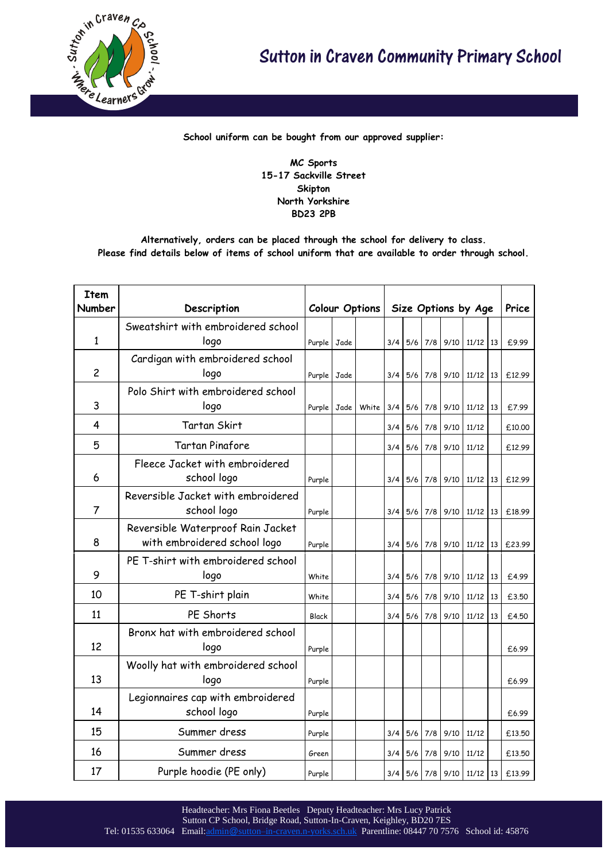

## **School uniform can be bought from our approved supplier:**

**MC Sports 15-17 Sackville Street Skipton North Yorkshire BD23 2PB**

**Alternatively, orders can be placed through the school for delivery to class. Please find details below of items of school uniform that are available to order through school.**

| <b>Item</b><br>Number   | Description                        | <b>Colour Options</b> |      | Size Options by Age |     |               |           |              | Price      |        |        |
|-------------------------|------------------------------------|-----------------------|------|---------------------|-----|---------------|-----------|--------------|------------|--------|--------|
|                         | Sweatshirt with embroidered school |                       |      |                     |     |               |           |              |            |        |        |
| $\mathbf{1}$            | logo                               | Purple                | Jade |                     | 3/4 | 5/6           | 7/8       | 9/10         | 11/12      | 13     | £9.99  |
|                         | Cardigan with embroidered school   |                       |      |                     |     |               |           |              |            |        |        |
| $\overline{c}$          | logo                               | Purple Jade           |      |                     | 3/4 |               | $5/6$ 7/8 | 9/10         | 11/12      | 13     | £12.99 |
|                         | Polo Shirt with embroidered school |                       |      |                     |     |               |           |              |            |        |        |
| 3                       | logo                               | Purple Jade           |      | White               | 3/4 | 5/6           | 7/8       | 9/10         | 11/12      | 13     | £7.99  |
| $\overline{\mathbf{4}}$ | Tartan Skirt                       |                       |      |                     | 3/4 | 5/6           | 7/8       | 9/10         | 11/12      |        | £10.00 |
| 5                       | <b>Tartan Pinafore</b>             |                       |      | 3/4                 | 5/6 | 7/8           | 9/10      | 11/12        |            | £12.99 |        |
|                         | Fleece Jacket with embroidered     |                       |      |                     |     |               |           |              |            |        |        |
| 6                       | school logo                        | Purple                |      |                     | 3/4 |               |           | 5/6 7/8 9/10 | $11/12$ 13 |        | £12.99 |
|                         | Reversible Jacket with embroidered |                       |      |                     |     |               |           |              |            |        |        |
| $\overline{7}$          | school logo                        | Purple                |      |                     | 3/4 | 5/6           | 7/8       | 9/10         | 11/12      | 13     | £18.99 |
|                         | Reversible Waterproof Rain Jacket  |                       |      |                     |     |               |           |              |            |        |        |
| 8                       | with embroidered school logo       | Purple                |      |                     |     | $3/4$ 5/6 7/8 |           | 9/10         | $11/12$ 13 |        | £23.99 |
|                         | PE T-shirt with embroidered school |                       |      |                     |     |               |           |              |            |        |        |
| 9                       | logo                               | White                 |      |                     | 3/4 | 5/6           | 7/8       | 9/10         | 11/12      | 13     | £4.99  |
| 10                      | PE T-shirt plain                   | White                 |      |                     | 3/4 | 5/6           | 7/8       | 9/10         | 11/12      | 13     | £3.50  |
| 11                      | PE Shorts                          | <b>Black</b>          |      |                     | 3/4 | 5/6           | 7/8       | 9/10         | 11/12      | 13     | £4.50  |
|                         | Bronx hat with embroidered school  |                       |      |                     |     |               |           |              |            |        |        |
| 12                      | logo                               | Purple                |      |                     |     |               |           |              |            |        | £6.99  |
|                         | Woolly hat with embroidered school |                       |      |                     |     |               |           |              |            |        |        |
| 13                      | logo                               | Purple                |      |                     |     |               |           |              |            |        | £6.99  |
|                         | Legionnaires cap with embroidered  |                       |      |                     |     |               |           |              |            |        |        |
| 14                      | school logo                        | Purple                |      |                     |     |               |           |              |            |        | £6.99  |
| 15                      | Summer dress                       | Purple                |      |                     | 3/4 | 5/6           | 7/8       | 9/10         | 11/12      |        | £13.50 |
| 16                      | Summer dress                       | Green                 |      |                     | 3/4 |               | $5/6$ 7/8 | 9/10         | 11/12      |        | £13.50 |
| 17                      | Purple hoodie (PE only)            | Purple                |      |                     | 3/4 |               |           | 5/6 7/8 9/10 | $11/12$ 13 |        | £13.99 |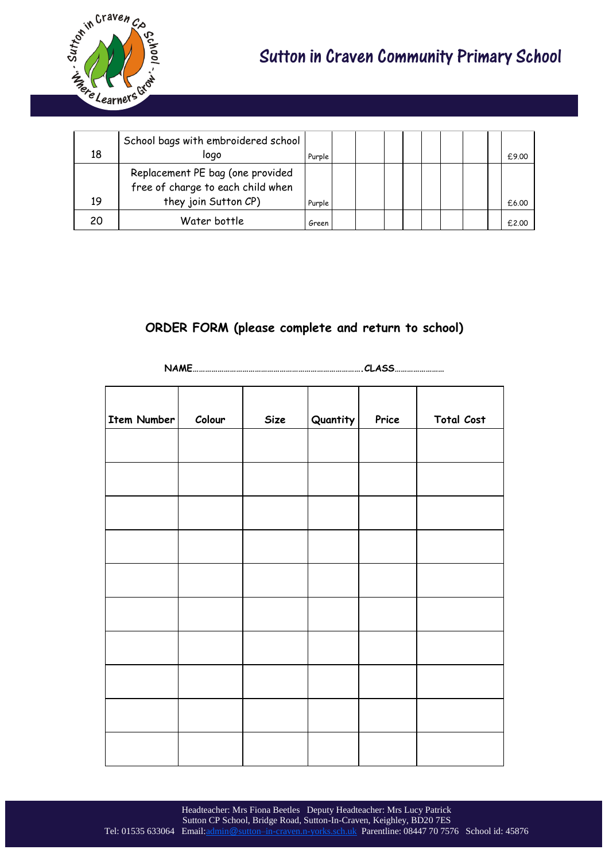

## Sutton in Craven Community Primary School

| 18 | School bags with embroidered school<br>logo                                                   | Purple |  |  |  |  | £9.00 |
|----|-----------------------------------------------------------------------------------------------|--------|--|--|--|--|-------|
| 19 | Replacement PE bag (one provided<br>free of charge to each child when<br>they join Sutton CP) | Purple |  |  |  |  | £6.00 |
| 20 | Water bottle                                                                                  | Green  |  |  |  |  | £2.00 |

## **ORDER FORM (please complete and return to school)**

**NAME……………………………………………………………………….CLASS……………………**

| Item Number | Colour | Size | Quantity | Price | Total Cost |
|-------------|--------|------|----------|-------|------------|
|             |        |      |          |       |            |
|             |        |      |          |       |            |
|             |        |      |          |       |            |
|             |        |      |          |       |            |
|             |        |      |          |       |            |
|             |        |      |          |       |            |
|             |        |      |          |       |            |
|             |        |      |          |       |            |
|             |        |      |          |       |            |
|             |        |      |          |       |            |